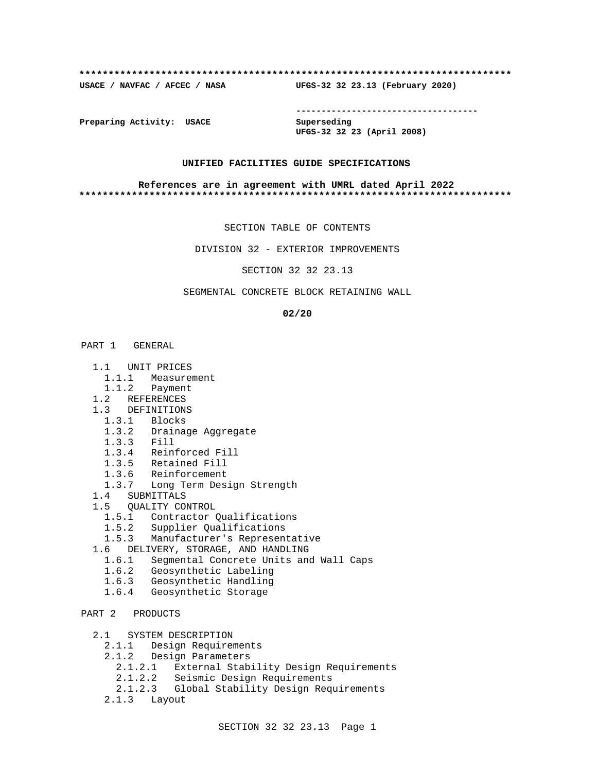### **\*\*\*\*\*\*\*\*\*\*\*\*\*\*\*\*\*\*\*\*\*\*\*\*\*\*\*\*\*\*\*\*\*\*\*\*\*\*\*\*\*\*\*\*\*\*\*\*\*\*\*\*\*\*\*\*\*\*\*\*\*\*\*\*\*\*\*\*\*\*\*\*\*\***

**USACE / NAVFAC / AFCEC / NASA UFGS-32 32 23.13 (February 2020)**

**------------------------------------**

**Preparing Activity: USACE Superseding**

**UFGS-32 32 23 (April 2008)**

## **UNIFIED FACILITIES GUIDE SPECIFICATIONS**

## **References are in agreement with UMRL dated April 2022 \*\*\*\*\*\*\*\*\*\*\*\*\*\*\*\*\*\*\*\*\*\*\*\*\*\*\*\*\*\*\*\*\*\*\*\*\*\*\*\*\*\*\*\*\*\*\*\*\*\*\*\*\*\*\*\*\*\*\*\*\*\*\*\*\*\*\*\*\*\*\*\*\*\***

SECTION TABLE OF CONTENTS

DIVISION 32 - EXTERIOR IMPROVEMENTS

SECTION 32 32 23.13

# SEGMENTAL CONCRETE BLOCK RETAINING WALL

## **02/20**

# PART 1 GENERAL

- 1.1 UNIT PRICES
- 1.1.1 Measurement
- 1.1.2 Payment
- 1.2 REFERENCES
- 1.3 DEFINITIONS
	- 1.3.1 Blocks
	- 1.3.2 Drainage Aggregate<br>1.3.3 Fill
	- $1.3.3$
- 1.3.4 Reinforced Fill
- 1.3.5 Retained Fill
	- 1.3.6 Reinforcement
	- 1.3.7 Long Term Design Strength
	- 1.4 SUBMITTALS
	- 1.5 QUALITY CONTROL
		- 1.5.1 Contractor Qualifications
		- 1.5.2 Supplier Qualifications
		- 1.5.3 Manufacturer's Representative
	- 1.6 DELIVERY, STORAGE, AND HANDLING
	- 1.6.1 Segmental Concrete Units and Wall Caps
	- 1.6.2 Geosynthetic Labeling
	- 1.6.3 Geosynthetic Handling
	- 1.6.4 Geosynthetic Storage

# PART 2 PRODUCTS

- 2.1 SYSTEM DESCRIPTION
	- 2.1.1 Design Requirements
	- 2.1.2 Design Parameters
		- 2.1.2.1 External Stability Design Requirements
		- 2.1.2.2 Seismic Design Requirements
		- 2.1.2.3 Global Stability Design Requirements
	- 2.1.3 Layout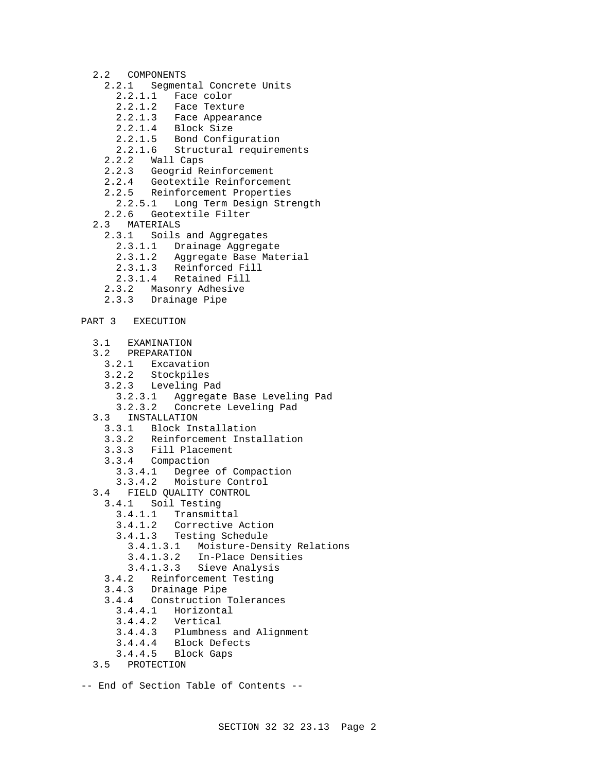- 2.2 COMPONENTS
	- 2.2.1 Segmental Concrete Units
		- 2.2.1.1 Face color
		- 2.2.1.2 Face Texture
		- 2.2.1.3 Face Appearance
- 2.2.1.4 Block Size
- 2.2.1.5 Bond Configuration
	- 2.2.1.6 Structural requirements
	- 2.2.2 Wall Caps
	- 2.2.3 Geogrid Reinforcement
	- 2.2.4 Geotextile Reinforcement
	- 2.2.5 Reinforcement Properties
	- 2.2.5.1 Long Term Design Strength
	- 2.2.6 Geotextile Filter
	- 2.3 MATERIALS
		- 2.3.1 Soils and Aggregates
			- 2.3.1.1 Drainage Aggregate
- 2.3.1.2 Aggregate Base Material
- 2.3.1.3 Reinforced Fill
	- 2.3.1.4 Retained Fill
	- 2.3.2 Masonry Adhesive
	- 2.3.3 Drainage Pipe

```
PART 3 EXECUTION
```
- 3.1 EXAMINATION
- 3.2 PREPARATION
	- 3.2.1 Excavation
	- 3.2.2 Stockpiles
	- 3.2.3 Leveling Pad
	- 3.2.3.1 Aggregate Base Leveling Pad
	- 3.2.3.2 Concrete Leveling Pad
- 3.3 INSTALLATION
	- 3.3.1 Block Installation
	- 3.3.2 Reinforcement Installation
	- 3.3.3 Fill Placement
	- 3.3.4 Compaction
		- 3.3.4.1 Degree of Compaction
- 3.3.4.2 Moisture Control
- 3.4 FIELD QUALITY CONTROL
	- 3.4.1 Soil Testing
		- 3.4.1.1 Transmittal
		- 3.4.1.2 Corrective Action
		- 3.4.1.3 Testing Schedule
			- 3.4.1.3.1 Moisture-Density Relations
			- 3.4.1.3.2 In-Place Densities
			- 3.4.1.3.3 Sieve Analysis
	- 3.4.2 Reinforcement Testing
	- 3.4.3 Drainage Pipe
	- 3.4.4 Construction Tolerances
		- 3.4.4.1 Horizontal
		- 3.4.4.2 Vertical
		- 3.4.4.3 Plumbness and Alignment
		- 3.4.4.4 Block Defects
		- 3.4.4.5 Block Gaps
- 3.5 PROTECTION

-- End of Section Table of Contents --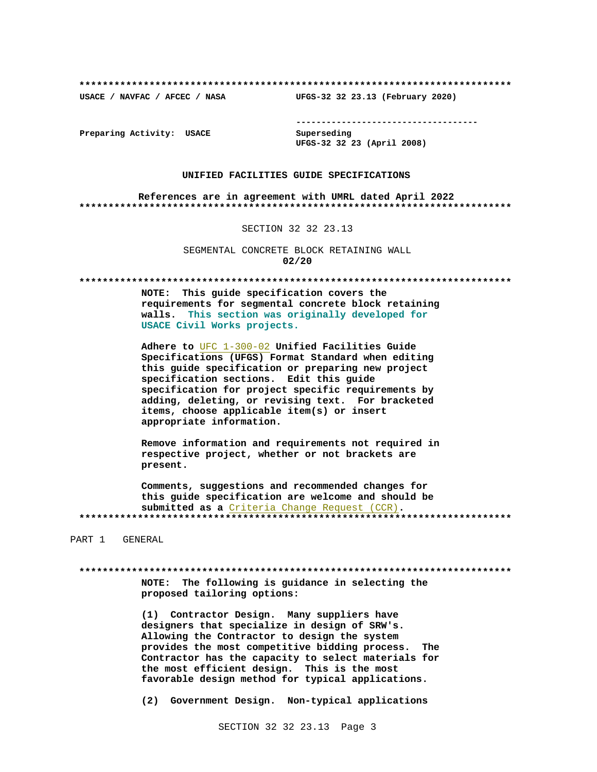USACE / NAVFAC / AFCEC / NASA

--------------------------------------

Preparing Activity: USACE

Superseding UFGS-32 32 23 (April 2008)

UFGS-32 32 23.13 (February 2020)

## UNIFIED FACILITIES GUIDE SPECIFICATIONS

References are in agreement with UMRL dated April 2022 

SECTION 32 32 23.13

SEGMENTAL CONCRETE BLOCK RETAINING WALL  $02/20$ 

NOTE: This quide specification covers the requirements for segmental concrete block retaining walls. This section was originally developed for USACE Civil Works projects.

Adhere to UFC 1-300-02 Unified Facilities Guide Specifications (UFGS) Format Standard when editing this guide specification or preparing new project specification sections. Edit this guide specification for project specific requirements by adding, deleting, or revising text. For bracketed items, choose applicable item(s) or insert appropriate information.

Remove information and requirements not required in respective project, whether or not brackets are present.

Comments, suggestions and recommended changes for this guide specification are welcome and should be submitted as a Criteria Change Request (CCR). 

PART 1 GENERAL

NOTE: The following is guidance in selecting the

proposed tailoring options:

(1) Contractor Design. Many suppliers have designers that specialize in design of SRW's. Allowing the Contractor to design the system provides the most competitive bidding process. The Contractor has the capacity to select materials for the most efficient design. This is the most favorable design method for typical applications.

(2) Government Design. Non-typical applications

SECTION 32 32 23.13 Page 3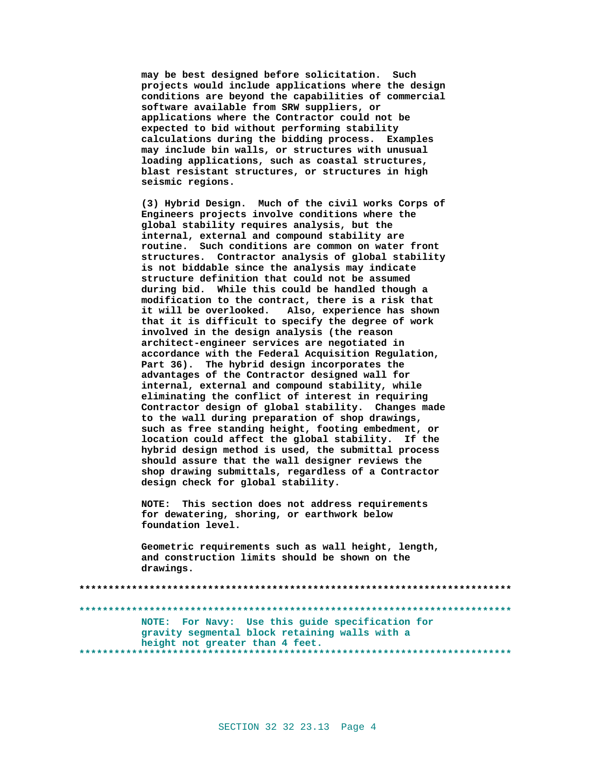may be best designed before solicitation. Such projects would include applications where the design conditions are beyond the capabilities of commercial software available from SRW suppliers, or applications where the Contractor could not be expected to bid without performing stability calculations during the bidding process. Examples may include bin walls, or structures with unusual loading applications, such as coastal structures, blast resistant structures, or structures in high seismic regions.

(3) Hybrid Design. Much of the civil works Corps of Engineers projects involve conditions where the global stability requires analysis, but the internal, external and compound stability are routine. Such conditions are common on water front structures. Contractor analysis of global stability is not biddable since the analysis may indicate structure definition that could not be assumed during bid. While this could be handled though a modification to the contract, there is a risk that it will be overlooked. Also, experience has shown that it is difficult to specify the degree of work involved in the design analysis (the reason architect-engineer services are negotiated in accordance with the Federal Acquisition Regulation, Part 36). The hybrid design incorporates the advantages of the Contractor designed wall for internal, external and compound stability, while eliminating the conflict of interest in requiring Contractor design of global stability. Changes made to the wall during preparation of shop drawings, such as free standing height, footing embedment, or location could affect the global stability. If the hybrid design method is used, the submittal process should assure that the wall designer reviews the shop drawing submittals, regardless of a Contractor design check for global stability.

NOTE: This section does not address requirements for dewatering, shoring, or earthwork below foundation level.

Geometric requirements such as wall height, length, and construction limits should be shown on the drawings.

NOTE: For Navy: Use this guide specification for gravity segmental block retaining walls with a height not greater than 4 feet. \*\*\*\*\*\*\*\*\*\*\*\*\*\*\*\*\*\*\*\*\*\*\*\*\*\*\*\*\*\*\*\*\*\*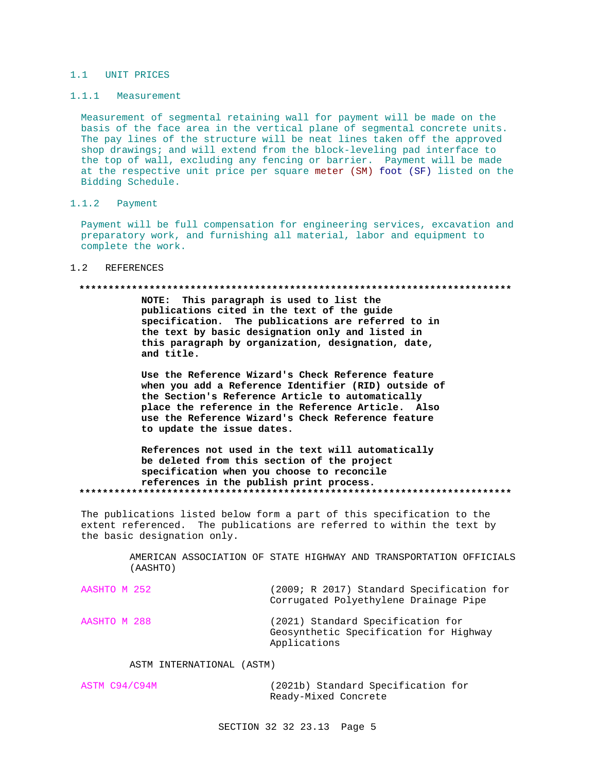# 1.1 UNIT PRICES

## 1.1.1 Measurement

Measurement of segmental retaining wall for payment will be made on the basis of the face area in the vertical plane of segmental concrete units. The pay lines of the structure will be neat lines taken off the approved shop drawings; and will extend from the block-leveling pad interface to the top of wall, excluding any fencing or barrier. Payment will be made at the respective unit price per square meter (SM) foot (SF) listed on the Bidding Schedule.

#### $1.1.2$ Payment

Payment will be full compensation for engineering services, excavation and preparatory work, and furnishing all material, labor and equipment to complete the work.

#### $1.2$ **REFERENCES**

### 

NOTE: This paragraph is used to list the publications cited in the text of the guide specification. The publications are referred to in the text by basic designation only and listed in this paragraph by organization, designation, date, and title.

Use the Reference Wizard's Check Reference feature when you add a Reference Identifier (RID) outside of the Section's Reference Article to automatically place the reference in the Reference Article. Also use the Reference Wizard's Check Reference feature to update the issue dates.

References not used in the text will automatically be deleted from this section of the project specification when you choose to reconcile references in the publish print process. 

The publications listed below form a part of this specification to the extent referenced. The publications are referred to within the text by the basic designation only.

> AMERICAN ASSOCIATION OF STATE HIGHWAY AND TRANSPORTATION OFFICIALS (AASHTO)

| AASHTO M 252 | (2009; R 2017) Standard Specification for<br>Corrugated Polyethylene Drainage Pipe          |
|--------------|---------------------------------------------------------------------------------------------|
| AASHTO M 288 | (2021) Standard Specification for<br>Geosynthetic Specification for Highway<br>Applications |

# ASTM INTERNATIONAL (ASTM)

| ASTM C94/C94M |  |
|---------------|--|
|               |  |

(2021b) Standard Specification for Ready-Mixed Concrete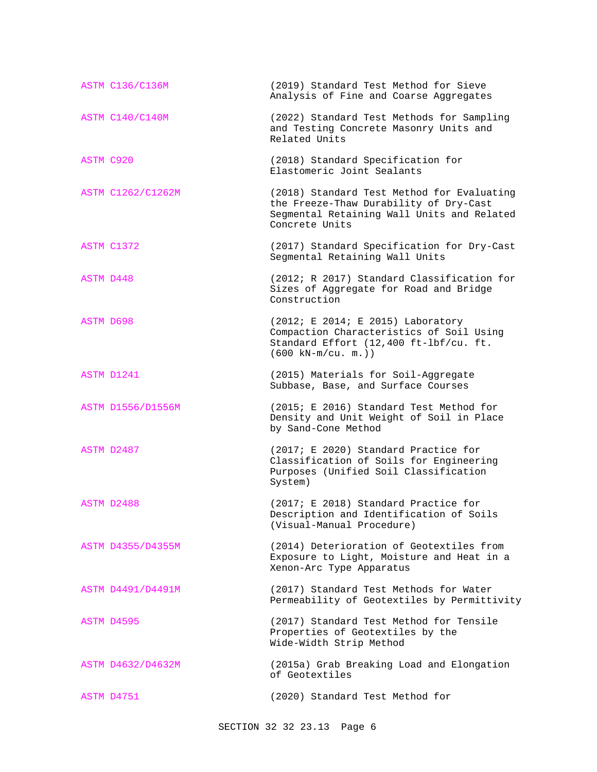| <b>ASTM C136/C136M</b>   | (2019) Standard Test Method for Sieve<br>Analysis of Fine and Coarse Aggregates                                                                         |
|--------------------------|---------------------------------------------------------------------------------------------------------------------------------------------------------|
| ASTM C140/C140M          | (2022) Standard Test Methods for Sampling<br>and Testing Concrete Masonry Units and<br>Related Units                                                    |
| <b>ASTM C920</b>         | (2018) Standard Specification for<br>Elastomeric Joint Sealants                                                                                         |
| ASTM C1262/C1262M        | (2018) Standard Test Method for Evaluating<br>the Freeze-Thaw Durability of Dry-Cast<br>Segmental Retaining Wall Units and Related<br>Concrete Units    |
| ASTM C1372               | (2017) Standard Specification for Dry-Cast<br>Segmental Retaining Wall Units                                                                            |
| ASTM D448                | (2012; R 2017) Standard Classification for<br>Sizes of Aggregate for Road and Bridge<br>Construction                                                    |
| ASTM D698                | (2012; E 2014; E 2015) Laboratory<br>Compaction Characteristics of Soil Using<br>Standard Effort (12,400 ft-lbf/cu. ft.<br>$(600 \text{ kN-m/cu. m.}))$ |
| ASTM D1241               | (2015) Materials for Soil-Aggregate<br>Subbase, Base, and Surface Courses                                                                               |
| ASTM D1556/D1556M        | (2015; E 2016) Standard Test Method for<br>Density and Unit Weight of Soil in Place<br>by Sand-Cone Method                                              |
| ASTM D2487               | (2017; E 2020) Standard Practice for<br>Classification of Soils for Engineering<br>Purposes (Unified Soil Classification<br>System)                     |
| ASTM D2488               | (2017; E 2018) Standard Practice for<br>Description and Identification of Soils<br>(Visual-Manual Procedure)                                            |
| ASTM D4355/D4355M        | (2014) Deterioration of Geotextiles from<br>Exposure to Light, Moisture and Heat in a<br>Xenon-Arc Type Apparatus                                       |
| <b>ASTM D4491/D4491M</b> | (2017) Standard Test Methods for Water<br>Permeability of Geotextiles by Permittivity                                                                   |
| ASTM D4595               | (2017) Standard Test Method for Tensile<br>Properties of Geotextiles by the<br>Wide-Width Strip Method                                                  |
| ASTM D4632/D4632M        | (2015a) Grab Breaking Load and Elongation<br>of Geotextiles                                                                                             |
| ASTM D4751               | (2020) Standard Test Method for                                                                                                                         |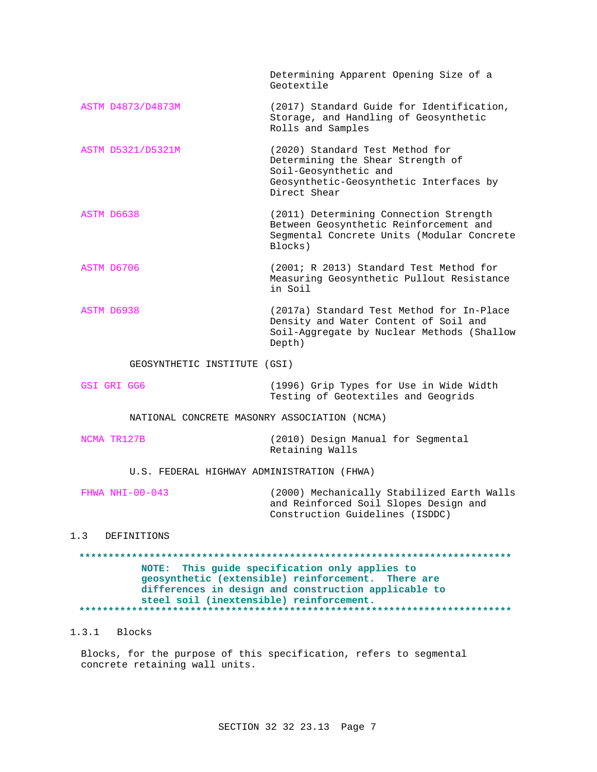|                                              | Determining Apparent Opening Size of a<br>Geotextile                                                                                                     |  |
|----------------------------------------------|----------------------------------------------------------------------------------------------------------------------------------------------------------|--|
| ASTM D4873/D4873M                            | (2017) Standard Guide for Identification,<br>Storage, and Handling of Geosynthetic<br>Rolls and Samples                                                  |  |
| ASTM D5321/D5321M                            | (2020) Standard Test Method for<br>Determining the Shear Strength of<br>Soil-Geosynthetic and<br>Geosynthetic-Geosynthetic Interfaces by<br>Direct Shear |  |
| ASTM D6638                                   | (2011) Determining Connection Strength<br>Between Geosynthetic Reinforcement and<br>Segmental Concrete Units (Modular Concrete<br>Blocks)                |  |
| ASTM D6706                                   | (2001; R 2013) Standard Test Method for<br>Measuring Geosynthetic Pullout Resistance<br>in Soil                                                          |  |
| ASTM D6938                                   | (2017a) Standard Test Method for In-Place<br>Density and Water Content of Soil and<br>Soil-Aggregate by Nuclear Methods (Shallow<br>Depth)               |  |
| GEOSYNTHETIC INSTITUTE (GSI)                 |                                                                                                                                                          |  |
| GSI GRI GG6                                  | (1996) Grip Types for Use in Wide Width<br>Testing of Geotextiles and Geogrids                                                                           |  |
| NATIONAL CONCRETE MASONRY ASSOCIATION (NCMA) |                                                                                                                                                          |  |
| NCMA TR127B                                  | (2010) Design Manual for Segmental<br>Retaining Walls                                                                                                    |  |
| U.S. FEDERAL HIGHWAY ADMINISTRATION (FHWA)   |                                                                                                                                                          |  |
| FHWA NHI-00-043                              | (2000) Mechanically Stabilized Earth Walls<br>and Reinforced Soil Slopes Design and<br>Construction Guidelines (ISDDC)                                   |  |
| 1.3<br>DEFINITIONS                           |                                                                                                                                                          |  |

**\*\*\*\*\*\*\*\*\*\*\*\*\*\*\*\*\*\*\*\*\*\*\*\*\*\*\*\*\*\*\*\*\*\*\*\*\*\*\*\*\*\*\*\*\*\*\*\*\*\*\*\*\*\*\*\*\*\*\*\*\*\*\*\*\*\*\*\*\*\*\*\*\*\* NOTE: This guide specification only applies to geosynthetic (extensible) reinforcement. There are differences in design and construction applicable to steel soil (inextensible) reinforcement. \*\*\*\*\*\*\*\*\*\*\*\*\*\*\*\*\*\*\*\*\*\*\*\*\*\*\*\*\*\*\*\*\*\*\*\*\*\*\*\*\*\*\*\*\*\*\*\*\*\*\*\*\*\*\*\*\*\*\*\*\*\*\*\*\*\*\*\*\*\*\*\*\*\***

# 1.3.1 Blocks

Blocks, for the purpose of this specification, refers to segmental concrete retaining wall units.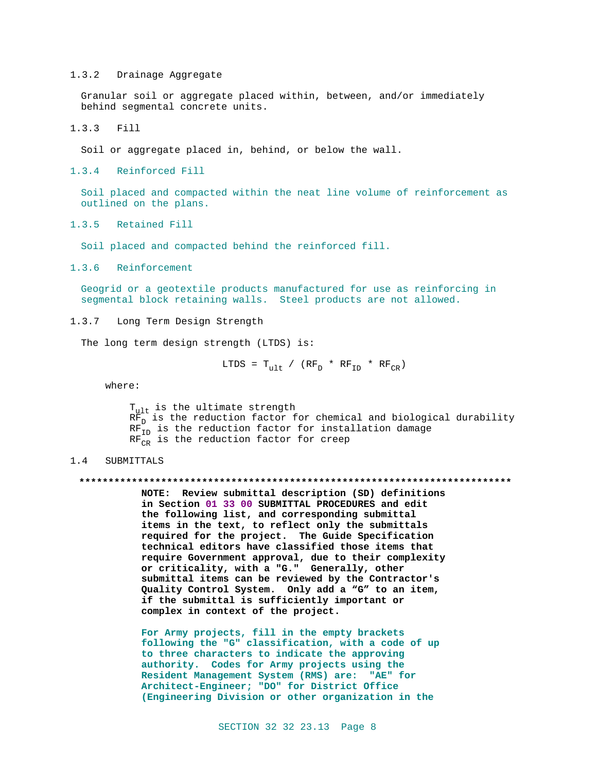#### $1.3.2$ Drainage Aggregate

Granular soil or aggregate placed within, between, and/or immediately behind segmental concrete units.

 $1.3.3$ Fill

Soil or aggregate placed in, behind, or below the wall.

1.3.4 Reinforced Fill

Soil placed and compacted within the neat line volume of reinforcement as outlined on the plans.

1.3.5 Retained Fill

Soil placed and compacted behind the reinforced fill.

 $1.3.6$ Reinforcement

Geogrid or a geotextile products manufactured for use as reinforcing in segmental block retaining walls. Steel products are not allowed.

 $1.3.7$ Long Term Design Strength

The long term design strength (LTDS) is:

LTDS = 
$$
T_{ult}
$$
 / (RF<sub>D</sub> \* RF<sub>ID</sub> \* RF<sub>CR</sub>)

where:

 $T_{u1t}$  is the ultimate strength  $R_{\text{D}}^{+}$  is the reduction factor for chemical and biological durability  $R\overline{F}_{ID}$  is the reduction factor for installation damage  $RF_{CP}$  is the reduction factor for creep

#### $1.4$ SUBMITTALS

### 

NOTE: Review submittal description (SD) definitions in Section 01 33 00 SUBMITTAL PROCEDURES and edit the following list, and corresponding submittal items in the text, to reflect only the submittals required for the project. The Guide Specification technical editors have classified those items that require Government approval, due to their complexity or criticality, with a "G." Generally, other submittal items can be reviewed by the Contractor's Quality Control System. Only add a "G" to an item, if the submittal is sufficiently important or complex in context of the project.

For Army projects, fill in the empty brackets following the "G" classification, with a code of up to three characters to indicate the approving authority. Codes for Army projects using the Resident Management System (RMS) are: "AE" for Architect-Engineer; "DO" for District Office (Engineering Division or other organization in the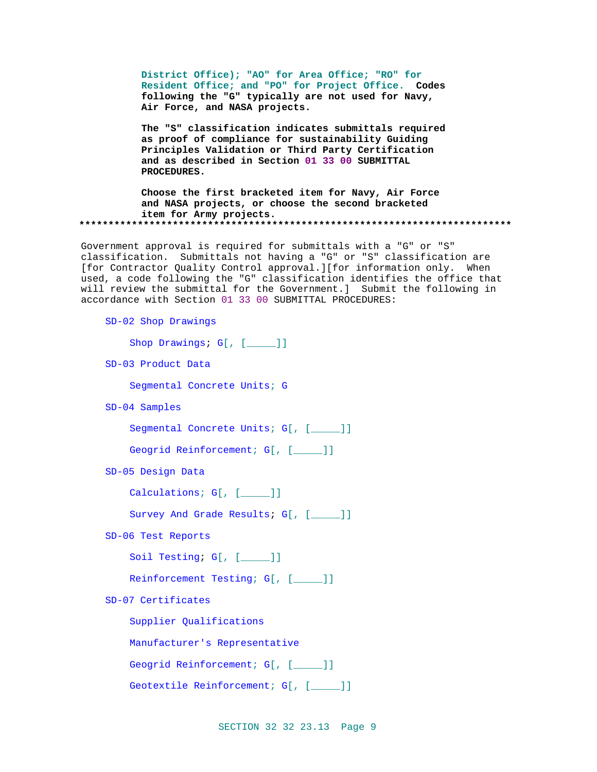**District Office); "AO" for Area Office; "RO" for Resident Office; and "PO" for Project Office. Codes following the "G" typically are not used for Navy, Air Force, and NASA projects.**

**The "S" classification indicates submittals required as proof of compliance for sustainability Guiding Principles Validation or Third Party Certification and as described in Section 01 33 00 SUBMITTAL PROCEDURES.**

**Choose the first bracketed item for Navy, Air Force and NASA projects, or choose the second bracketed item for Army projects. \*\*\*\*\*\*\*\*\*\*\*\*\*\*\*\*\*\*\*\*\*\*\*\*\*\*\*\*\*\*\*\*\*\*\*\*\*\*\*\*\*\*\*\*\*\*\*\*\*\*\*\*\*\*\*\*\*\*\*\*\*\*\*\*\*\*\*\*\*\*\*\*\*\***

Government approval is required for submittals with a "G" or "S" classification. Submittals not having a "G" or "S" classification are [for Contractor Quality Control approval.][for information only. When used, a code following the "G" classification identifies the office that will review the submittal for the Government.] Submit the following in accordance with Section 01 33 00 SUBMITTAL PROCEDURES:

SD-02 Shop Drawings

```
Shop Drawings; G[, [____]]
```
SD-03 Product Data

Segmental Concrete Units; G

SD-04 Samples

```
Segmental Concrete Units; G[, [____]]
```
Geogrid Reinforcement; G[, [\_\_\_\_]]

SD-05 Design Data

```
Calculations; G[, [_____]]
```
Survey And Grade Results; G[, [\_\_\_\_]]

SD-06 Test Reports

```
Soil Testing; G[, [____]]
```
Reinforcement Testing; G[, [\_\_\_\_]]

SD-07 Certificates

Supplier Qualifications

Manufacturer's Representative

Geogrid Reinforcement; G[, [\_\_\_\_]]

```
Geotextile Reinforcement; G[, [____]]
```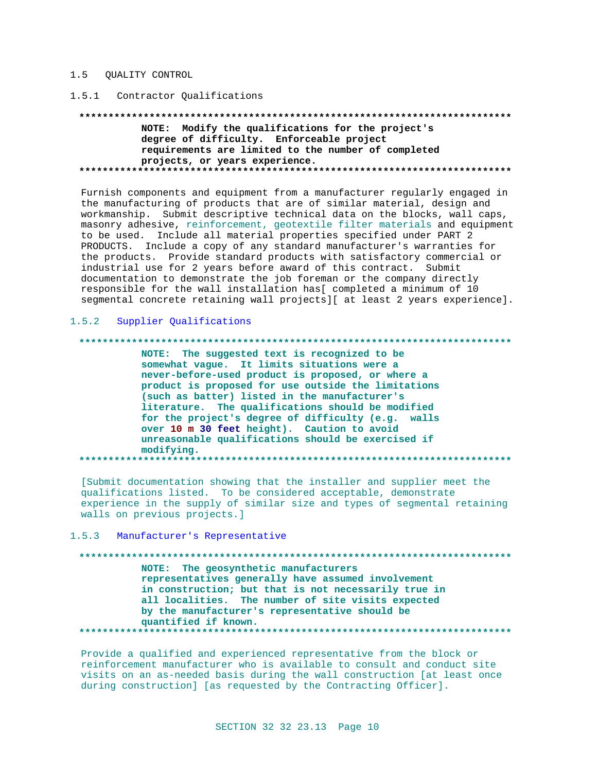# 1.5 OUALITY CONTROL

# 1.5.1 Contractor Qualifications

NOTE: Modify the qualifications for the project's degree of difficulty. Enforceable project requirements are limited to the number of completed projects, or years experience. 

Furnish components and equipment from a manufacturer regularly engaged in the manufacturing of products that are of similar material, design and workmanship. Submit descriptive technical data on the blocks, wall caps, masonry adhesive, reinforcement, geotextile filter materials and equipment to be used. Include all material properties specified under PART 2 PRODUCTS. Include a copy of any standard manufacturer's warranties for the products. Provide standard products with satisfactory commercial or industrial use for 2 years before award of this contract. Submit documentation to demonstrate the job foreman or the company directly responsible for the wall installation has [ completed a minimum of 10 segmental concrete retaining wall projects][ at least 2 years experience].

#### Supplier Qualifications  $1.5.2$

## 

NOTE: The suggested text is recognized to be somewhat vague. It limits situations were a never-before-used product is proposed, or where a product is proposed for use outside the limitations (such as batter) listed in the manufacturer's literature. The qualifications should be modified for the project's degree of difficulty (e.g. walls over 10 m 30 feet height). Caution to avoid unreasonable qualifications should be exercised if modifying. 

[Submit documentation showing that the installer and supplier meet the qualifications listed. To be considered acceptable, demonstrate experience in the supply of similar size and types of segmental retaining walls on previous projects.]

# 1.5.3 Manufacturer's Representative

NOTE: The geosynthetic manufacturers representatives generally have assumed involvement in construction; but that is not necessarily true in all localities. The number of site visits expected by the manufacturer's representative should be quantified if known. 

Provide a qualified and experienced representative from the block or reinforcement manufacturer who is available to consult and conduct site visits on an as-needed basis during the wall construction [at least once during construction] [as requested by the Contracting Officer].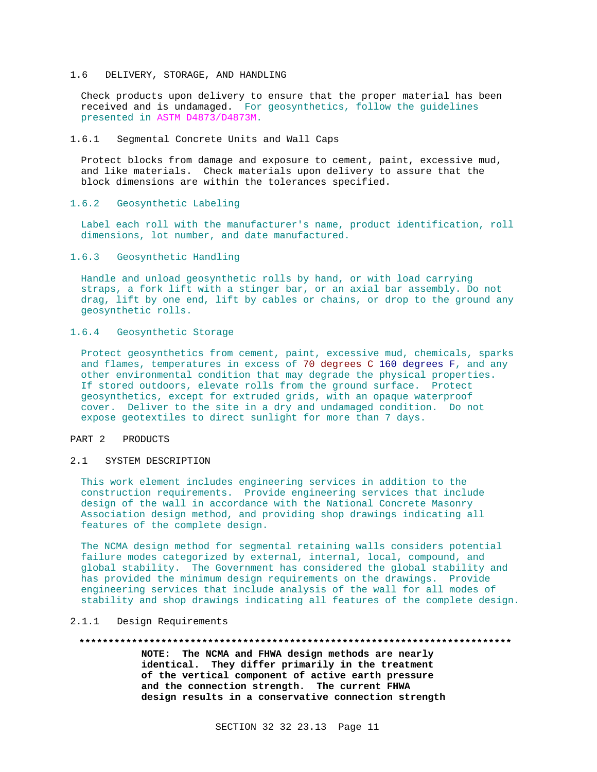## 1.6 DELIVERY, STORAGE, AND HANDLING

Check products upon delivery to ensure that the proper material has been received and is undamaged. For geosynthetics, follow the guidelines presented in ASTM D4873/D4873M.

## 1.6.1 Segmental Concrete Units and Wall Caps

Protect blocks from damage and exposure to cement, paint, excessive mud, and like materials. Check materials upon delivery to assure that the block dimensions are within the tolerances specified.

# 1.6.2 Geosynthetic Labeling

Label each roll with the manufacturer's name, product identification, roll dimensions, lot number, and date manufactured.

# 1.6.3 Geosynthetic Handling

Handle and unload geosynthetic rolls by hand, or with load carrying straps, a fork lift with a stinger bar, or an axial bar assembly. Do not drag, lift by one end, lift by cables or chains, or drop to the ground any geosynthetic rolls.

# 1.6.4 Geosynthetic Storage

Protect geosynthetics from cement, paint, excessive mud, chemicals, sparks and flames, temperatures in excess of 70 degrees C 160 degrees F, and any other environmental condition that may degrade the physical properties. If stored outdoors, elevate rolls from the ground surface. Protect geosynthetics, except for extruded grids, with an opaque waterproof cover. Deliver to the site in a dry and undamaged condition. Do not expose geotextiles to direct sunlight for more than 7 days.

## PART 2 PRODUCTS

### 2.1 SYSTEM DESCRIPTION

This work element includes engineering services in addition to the construction requirements. Provide engineering services that include design of the wall in accordance with the National Concrete Masonry Association design method, and providing shop drawings indicating all features of the complete design.

The NCMA design method for segmental retaining walls considers potential failure modes categorized by external, internal, local, compound, and global stability. The Government has considered the global stability and has provided the minimum design requirements on the drawings. Provide engineering services that include analysis of the wall for all modes of stability and shop drawings indicating all features of the complete design.

## 2.1.1 Design Requirements

### **\*\*\*\*\*\*\*\*\*\*\*\*\*\*\*\*\*\*\*\*\*\*\*\*\*\*\*\*\*\*\*\*\*\*\*\*\*\*\*\*\*\*\*\*\*\*\*\*\*\*\*\*\*\*\*\*\*\*\*\*\*\*\*\*\*\*\*\*\*\*\*\*\*\***

**NOTE: The NCMA and FHWA design methods are nearly identical. They differ primarily in the treatment of the vertical component of active earth pressure and the connection strength. The current FHWA design results in a conservative connection strength**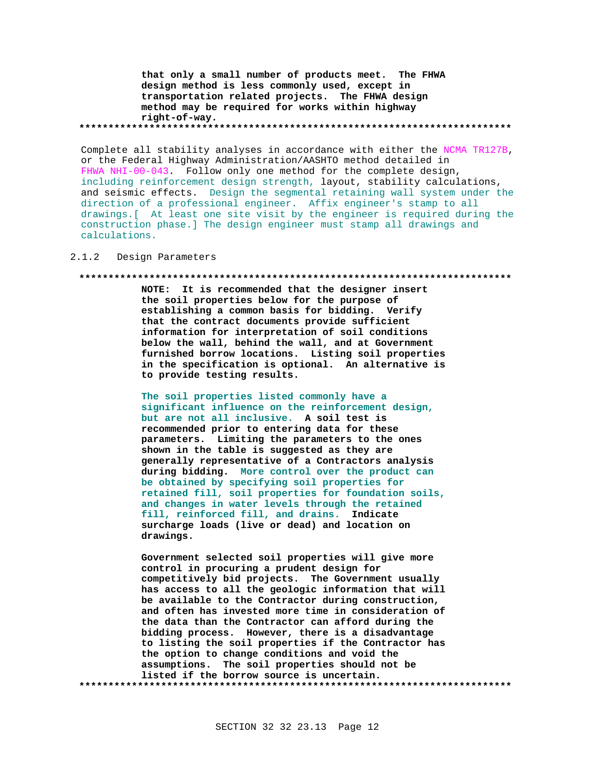**that only a small number of products meet. The FHWA design method is less commonly used, except in transportation related projects. The FHWA design method may be required for works within highway right-of-way.**

**\*\*\*\*\*\*\*\*\*\*\*\*\*\*\*\*\*\*\*\*\*\*\*\*\*\*\*\*\*\*\*\*\*\*\*\*\*\*\*\*\*\*\*\*\*\*\*\*\*\*\*\*\*\*\*\*\*\*\*\*\*\*\*\*\*\*\*\*\*\*\*\*\*\***

Complete all stability analyses in accordance with either the NCMA TR127B, or the Federal Highway Administration/AASHTO method detailed in FHWA NHI-00-043. Follow only one method for the complete design, including reinforcement design strength, layout, stability calculations, and seismic effects. Design the segmental retaining wall system under the direction of a professional engineer. Affix engineer's stamp to all drawings.[ At least one site visit by the engineer is required during the construction phase.] The design engineer must stamp all drawings and calculations.

# 2.1.2 Design Parameters

## **\*\*\*\*\*\*\*\*\*\*\*\*\*\*\*\*\*\*\*\*\*\*\*\*\*\*\*\*\*\*\*\*\*\*\*\*\*\*\*\*\*\*\*\*\*\*\*\*\*\*\*\*\*\*\*\*\*\*\*\*\*\*\*\*\*\*\*\*\*\*\*\*\*\***

**NOTE: It is recommended that the designer insert the soil properties below for the purpose of establishing a common basis for bidding. Verify that the contract documents provide sufficient information for interpretation of soil conditions below the wall, behind the wall, and at Government furnished borrow locations. Listing soil properties in the specification is optional. An alternative is to provide testing results.**

**The soil properties listed commonly have a significant influence on the reinforcement design, but are not all inclusive. A soil test is recommended prior to entering data for these parameters. Limiting the parameters to the ones shown in the table is suggested as they are generally representative of a Contractors analysis during bidding. More control over the product can be obtained by specifying soil properties for retained fill, soil properties for foundation soils, and changes in water levels through the retained fill, reinforced fill, and drains. Indicate surcharge loads (live or dead) and location on drawings.**

**Government selected soil properties will give more control in procuring a prudent design for competitively bid projects. The Government usually has access to all the geologic information that will be available to the Contractor during construction, and often has invested more time in consideration of the data than the Contractor can afford during the bidding process. However, there is a disadvantage to listing the soil properties if the Contractor has the option to change conditions and void the assumptions. The soil properties should not be listed if the borrow source is uncertain. \*\*\*\*\*\*\*\*\*\*\*\*\*\*\*\*\*\*\*\*\*\*\*\*\*\*\*\*\*\*\*\*\*\*\*\*\*\*\*\*\*\*\*\*\*\*\*\*\*\*\*\*\*\*\*\*\*\*\*\*\*\*\*\*\*\*\*\*\*\*\*\*\*\***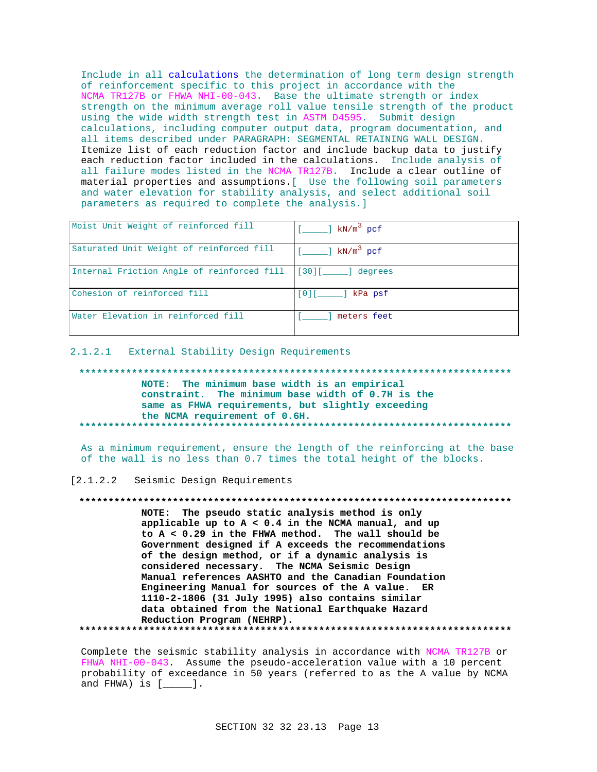Include in all calculations the determination of long term design strength of reinforcement specific to this project in accordance with the NCMA TR127B or FHWA NHI-00-043. Base the ultimate strength or index strength on the minimum average roll value tensile strength of the product using the wide width strength test in ASTM D4595. Submit design calculations, including computer output data, program documentation, and all items described under PARAGRAPH: SEGMENTAL RETAINING WALL DESIGN. Itemize list of each reduction factor and include backup data to justify each reduction factor included in the calculations. Include analysis of all failure modes listed in the NCMA TR127B. Include a clear outline of material properties and assumptions. [ Use the following soil parameters and water elevation for stability analysis, and select additional soil parameters as required to complete the analysis.]

| Moist Unit Weight of reinforced fill       | $\ln \text{KN/m}^3$ pcf      |
|--------------------------------------------|------------------------------|
| Saturated Unit Weight of reinforced fill   | $\Box$ kN/m <sup>3</sup> pcf |
| Internal Friction Angle of reinforced fill | $[30]$ ] degrees             |
| Cohesion of reinforced fill                | $[0]$ ] kPa psf              |
| Water Elevation in reinforced fill         | meters feet                  |

## 2.1.2.1 External Stability Design Requirements

# NOTE: The minimum base width is an empirical constraint. The minimum base width of 0.7H is the same as FHWA requirements, but slightly exceeding the NCMA requirement of 0.6H.

As a minimum requirement, ensure the length of the reinforcing at the base of the wall is no less than 0.7 times the total height of the blocks.

 $\lceil 2.1.2.2 \rceil$ Seismic Design Requirements

NOTE: The pseudo static analysis method is only applicable up to  $A < 0.4$  in the NCMA manual, and up to  $A < 0.29$  in the FHWA method. The wall should be Government designed if A exceeds the recommendations of the design method, or if a dynamic analysis is considered necessary. The NCMA Seismic Design Manual references AASHTO and the Canadian Foundation Engineering Manual for sources of the A value. ER 1110-2-1806 (31 July 1995) also contains similar data obtained from the National Earthquake Hazard Reduction Program (NEHRP). 

Complete the seismic stability analysis in accordance with NCMA TR127B or FHWA NHI-00-043. Assume the pseudo-acceleration value with a 10 percent probability of exceedance in 50 years (referred to as the A value by NCMA and  $FHWA$ ) is  $[$  \_\_\_\_\_].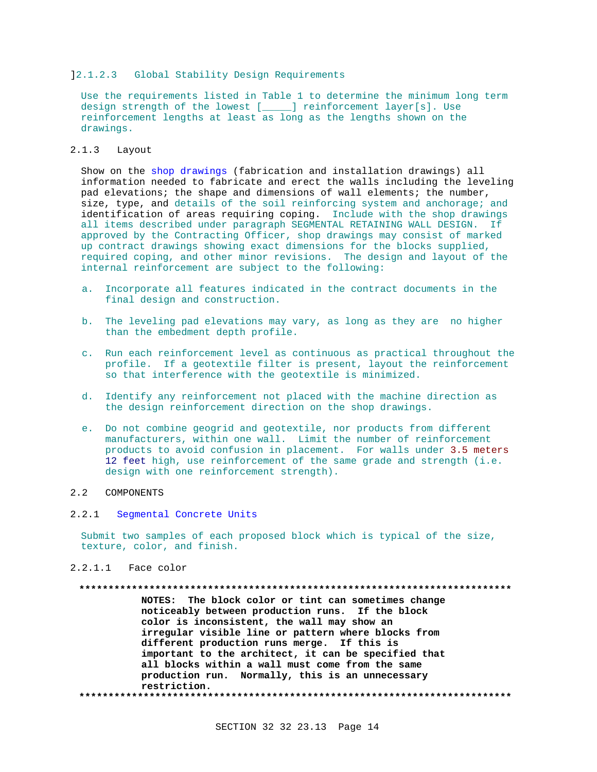# 12.1.2.3 Global Stability Design Requirements

Use the requirements listed in Table 1 to determine the minimum long term design strength of the lowest [\_\_\_\_] reinforcement layer[s]. Use reinforcement lengths at least as long as the lengths shown on the drawings.

#### $2.1.3$ Layout

Show on the shop drawings (fabrication and installation drawings) all information needed to fabricate and erect the walls including the leveling pad elevations; the shape and dimensions of wall elements; the number, size, type, and details of the soil reinforcing system and anchorage; and identification of areas requiring coping. Include with the shop drawings all items described under paragraph SEGMENTAL RETAINING WALL DESIGN. If approved by the Contracting Officer, shop drawings may consist of marked up contract drawings showing exact dimensions for the blocks supplied, required coping, and other minor revisions. The design and layout of the internal reinforcement are subject to the following:

- a. Incorporate all features indicated in the contract documents in the final design and construction.
- b. The leveling pad elevations may vary, as long as they are no higher than the embedment depth profile.
- c. Run each reinforcement level as continuous as practical throughout the profile. If a geotextile filter is present, layout the reinforcement so that interference with the geotextile is minimized.
- d. Identify any reinforcement not placed with the machine direction as the design reinforcement direction on the shop drawings.
- e. Do not combine geogrid and geotextile, nor products from different manufacturers, within one wall. Limit the number of reinforcement products to avoid confusion in placement. For walls under 3.5 meters 12 feet high, use reinforcement of the same grade and strength (i.e. design with one reinforcement strength).

### $2<sub>2</sub>$ COMPONENTS

#### $2.2.1$ Segmental Concrete Units

Submit two samples of each proposed block which is typical of the size, texture, color, and finish.

## $2.2.1.1$  Face color

\*\*\*\*\*\*\*\*\*\*\*\*\*\*

NOTES: The block color or tint can sometimes change noticeably between production runs. If the block color is inconsistent, the wall may show an irregular visible line or pattern where blocks from different production runs merge. If this is important to the architect, it can be specified that all blocks within a wall must come from the same production run. Normally, this is an unnecessary restriction.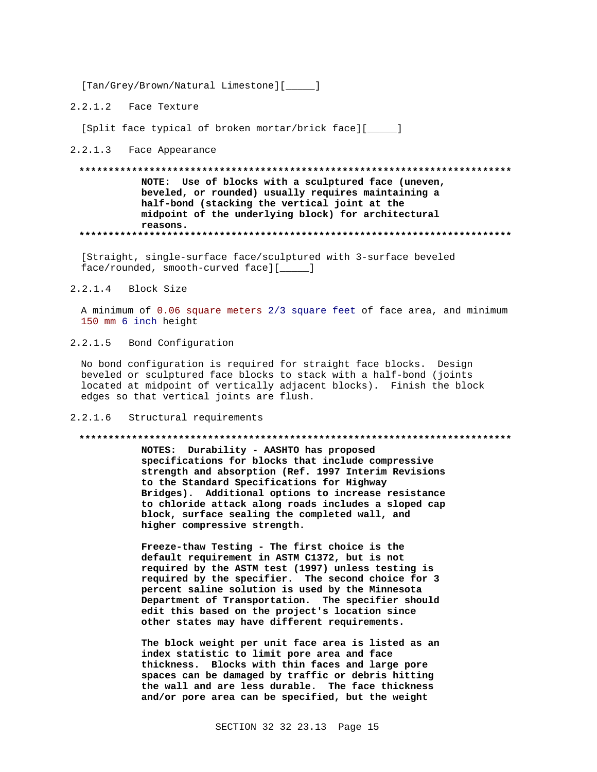[Tan/Grey/Brown/Natural Limestone][\_\_\_\_\_]

2.2.1.2 Face Texture

[Split face typical of broken mortar/brick face][\_\_\_\_]

2.2.1.3 Face Appearance

# NOTE: Use of blocks with a sculptured face (uneven, beveled, or rounded) usually requires maintaining a half-bond (stacking the vertical joint at the midpoint of the underlying block) for architectural reasons.

[Straight, single-surface face/sculptured with 3-surface beveled face/rounded, smooth-curved face][ ]

#### $2.2.1.4$ Block Size

A minimum of 0.06 square meters 2/3 square feet of face area, and minimum 150 mm 6 inch height

 $2.2.1.5$ Bond Configuration

No bond configuration is required for straight face blocks. Design beveled or sculptured face blocks to stack with a half-bond (joints located at midpoint of vertically adjacent blocks). Finish the block edges so that vertical joints are flush.

 $2.2.1.6$ Structural requirements

# 

NOTES: Durability - AASHTO has proposed specifications for blocks that include compressive strength and absorption (Ref. 1997 Interim Revisions to the Standard Specifications for Highway Bridges). Additional options to increase resistance to chloride attack along roads includes a sloped cap block, surface sealing the completed wall, and higher compressive strength.

Freeze-thaw Testing - The first choice is the default requirement in ASTM C1372, but is not required by the ASTM test (1997) unless testing is required by the specifier. The second choice for 3 percent saline solution is used by the Minnesota Department of Transportation. The specifier should edit this based on the project's location since other states may have different requirements.

The block weight per unit face area is listed as an index statistic to limit pore area and face thickness. Blocks with thin faces and large pore spaces can be damaged by traffic or debris hitting the wall and are less durable. The face thickness and/or pore area can be specified, but the weight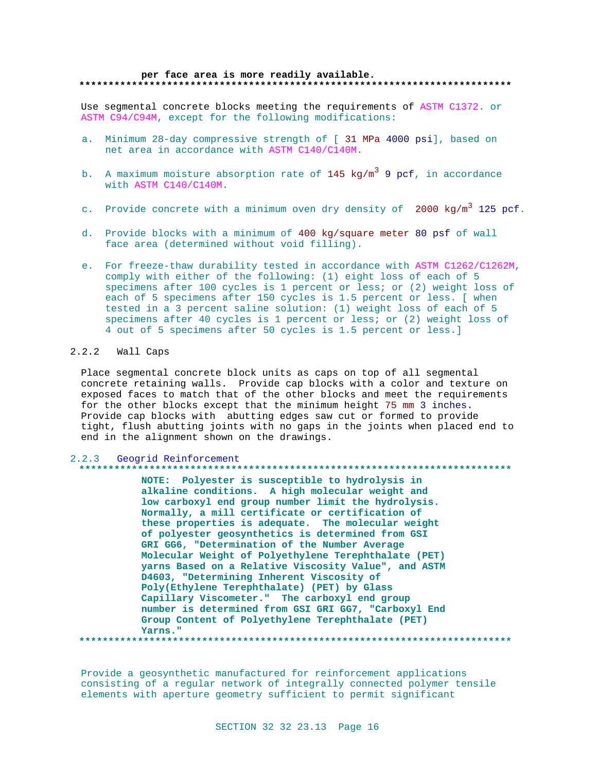## **per face area is more readily available. \*\*\*\*\*\*\*\*\*\*\*\*\*\*\*\*\*\*\*\*\*\*\*\*\*\*\*\*\*\*\*\*\*\*\*\*\*\*\*\*\*\*\*\*\*\*\*\*\*\*\*\*\*\*\*\*\*\*\*\*\*\*\*\*\*\*\*\*\*\*\*\*\*\***

Use segmental concrete blocks meeting the requirements of ASTM C1372. or ASTM C94/C94M, except for the following modifications:

- a. Minimum 28-day compressive strength of [ 31 MPa 4000 psi], based on net area in accordance with ASTM C140/C140M.
- b. A maximum moisture absorption rate of 145 kg/m<sup>3</sup> 9 pcf, in accordance with ASTM C140/C140M.
- c. Provide concrete with a minimum oven dry density of  $2000 \text{ kg/m}^3$  125 pcf.
- d. Provide blocks with a minimum of 400 kg/square meter 80 psf of wall face area (determined without void filling).
- e. For freeze-thaw durability tested in accordance with ASTM C1262/C1262M, comply with either of the following: (1) eight loss of each of 5 specimens after 100 cycles is 1 percent or less; or (2) weight loss of each of 5 specimens after 150 cycles is 1.5 percent or less. [ when tested in a 3 percent saline solution: (1) weight loss of each of 5 specimens after 40 cycles is 1 percent or less; or (2) weight loss of 4 out of 5 specimens after 50 cycles is 1.5 percent or less.]

# 2.2.2 Wall Caps

Place segmental concrete block units as caps on top of all segmental concrete retaining walls. Provide cap blocks with a color and texture on exposed faces to match that of the other blocks and meet the requirements for the other blocks except that the minimum height 75 mm 3 inches. Provide cap blocks with abutting edges saw cut or formed to provide tight, flush abutting joints with no gaps in the joints when placed end to end in the alignment shown on the drawings.

# 2.2.3 Geogrid Reinforcement

**\*\*\*\*\*\*\*\*\*\*\*\*\*\*\*\*\*\*\*\*\*\*\*\*\*\*\*\*\*\*\*\*\*\*\*\*\*\*\*\*\*\*\*\*\*\*\*\*\*\*\*\*\*\*\*\*\*\*\*\*\*\*\*\*\*\*\*\*\*\*\*\*\*\***

**NOTE: Polyester is susceptible to hydrolysis in alkaline conditions. A high molecular weight and low carboxyl end group number limit the hydrolysis. Normally, a mill certificate or certification of these properties is adequate. The molecular weight of polyester geosynthetics is determined from GSI GRI GG6, "Determination of the Number Average Molecular Weight of Polyethylene Terephthalate (PET) yarns Based on a Relative Viscosity Value", and ASTM D4603, "Determining Inherent Viscosity of Poly(Ethylene Terephthalate) (PET) by Glass Capillary Viscometer." The carboxyl end group number is determined from GSI GRI GG7, "Carboxyl End Group Content of Polyethylene Terephthalate (PET) Yarns." \*\*\*\*\*\*\*\*\*\*\*\*\*\*\*\*\*\*\*\*\*\*\*\*\*\*\*\*\*\*\*\*\*\*\*\*\*\*\*\*\*\*\*\*\*\*\*\*\*\*\*\*\*\*\*\*\*\*\*\*\*\*\*\*\*\*\*\*\*\*\*\*\*\***

Provide a geosynthetic manufactured for reinforcement applications consisting of a regular network of integrally connected polymer tensile elements with aperture geometry sufficient to permit significant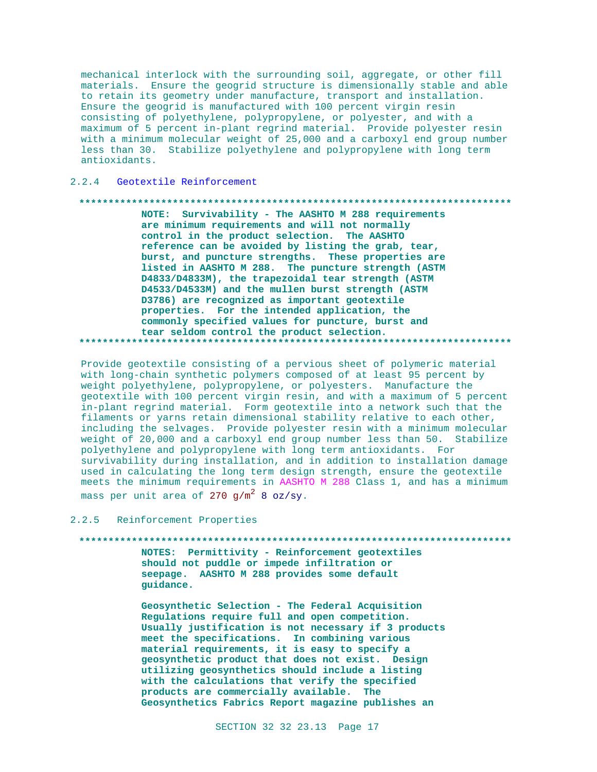mechanical interlock with the surrounding soil, aggregate, or other fill materials. Ensure the geogrid structure is dimensionally stable and able to retain its geometry under manufacture, transport and installation. Ensure the geogrid is manufactured with 100 percent virgin resin consisting of polyethylene, polypropylene, or polyester, and with a maximum of 5 percent in-plant regrind material. Provide polyester resin with a minimum molecular weight of 25,000 and a carboxyl end group number less than 30. Stabilize polyethylene and polypropylene with long term antioxidants.

#### $2.2.4$ Geotextile Reinforcement

#### \*\*\*\*\*\*\*\*\*\*\*\*\*\*

NOTE: Survivability - The AASHTO M 288 requirements are minimum requirements and will not normally control in the product selection. The AASHTO reference can be avoided by listing the grab, tear, burst, and puncture strengths. These properties are listed in AASHTO M 288. The puncture strength (ASTM D4833/D4833M), the trapezoidal tear strength (ASTM D4533/D4533M) and the mullen burst strength (ASTM D3786) are recognized as important geotextile properties. For the intended application, the commonly specified values for puncture, burst and tear seldom control the product selection. .<br>بالمحل المحل المحل التي تحت المحل المحل المحل المحل المحل المحل المحل المحل المحل المحل المحل المحل المحل المح

Provide geotextile consisting of a pervious sheet of polymeric material with long-chain synthetic polymers composed of at least 95 percent by weight polyethylene, polypropylene, or polyesters. Manufacture the geotextile with 100 percent virgin resin, and with a maximum of 5 percent in-plant regrind material. Form geotextile into a network such that the filaments or yarns retain dimensional stability relative to each other, including the selvages. Provide polyester resin with a minimum molecular weight of 20,000 and a carboxyl end group number less than 50. Stabilize polyethylene and polypropylene with long term antioxidants. For survivability during installation, and in addition to installation damage used in calculating the long term design strength, ensure the geotextile meets the minimum requirements in AASHTO M 288 Class 1, and has a minimum mass per unit area of 270  $q/m^2$  8 oz/sy.

# 2.2.5 Reinforcement Properties

### 

NOTES: Permittivity - Reinforcement geotextiles should not puddle or impede infiltration or seepage. AASHTO M 288 provides some default guidance.

Geosynthetic Selection - The Federal Acquisition Regulations require full and open competition. Usually justification is not necessary if 3 products meet the specifications. In combining various material requirements, it is easy to specify a geosynthetic product that does not exist. Design utilizing geosynthetics should include a listing with the calculations that verify the specified products are commercially available. The Geosynthetics Fabrics Report magazine publishes an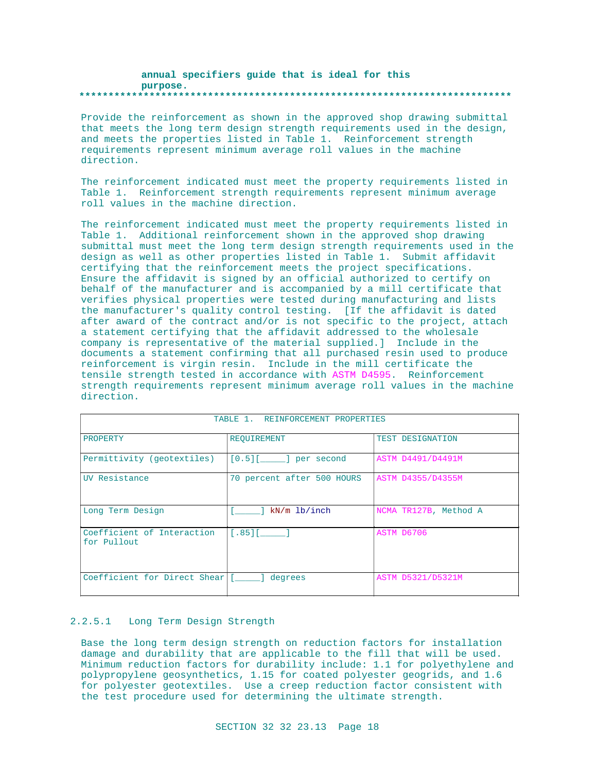### **annual specifiers guide that is ideal for this purpose. \*\*\*\*\*\*\*\*\*\*\*\*\*\*\*\*\*\*\*\*\*\*\*\*\*\*\*\*\*\*\*\*\*\*\*\*\*\*\*\*\*\*\*\*\*\*\*\*\*\*\*\*\*\*\*\*\*\*\*\*\*\*\*\*\*\*\*\*\*\*\*\*\*\***

Provide the reinforcement as shown in the approved shop drawing submittal that meets the long term design strength requirements used in the design, and meets the properties listed in Table 1. Reinforcement strength requirements represent minimum average roll values in the machine direction.

The reinforcement indicated must meet the property requirements listed in Table 1. Reinforcement strength requirements represent minimum average roll values in the machine direction.

The reinforcement indicated must meet the property requirements listed in Table 1. Additional reinforcement shown in the approved shop drawing submittal must meet the long term design strength requirements used in the design as well as other properties listed in Table 1. Submit affidavit certifying that the reinforcement meets the project specifications. Ensure the affidavit is signed by an official authorized to certify on behalf of the manufacturer and is accompanied by a mill certificate that verifies physical properties were tested during manufacturing and lists the manufacturer's quality control testing. [If the affidavit is dated after award of the contract and/or is not specific to the project, attach a statement certifying that the affidavit addressed to the wholesale company is representative of the material supplied.] Include in the documents a statement confirming that all purchased resin used to produce reinforcement is virgin resin. Include in the mill certificate the tensile strength tested in accordance with ASTM D4595. Reinforcement strength requirements represent minimum average roll values in the machine direction.

| TABLE 1. REINFORCEMENT PROPERTIES         |                            |                          |
|-------------------------------------------|----------------------------|--------------------------|
| PROPERTY                                  | <b>REQUIREMENT</b>         | TEST DESIGNATION         |
| Permittivity (geotextiles)                | $[0.5][$ $]$ per second    | ASTM D4491/D4491M        |
| UV Resistance                             | 70 percent after 500 HOURS | <b>ASTM D4355/D4355M</b> |
| Long Term Design                          | 1 kN/m lb/inch             | NCMA TR127B, Method A    |
| Coefficient of Interaction<br>for Pullout | $[ .85] [$ ]               | ASTM D6706               |
| Coefficient for Direct Shear              | degrees<br>The Contract    | ASTM D5321/D5321M        |

# 2.2.5.1 Long Term Design Strength

Base the long term design strength on reduction factors for installation damage and durability that are applicable to the fill that will be used. Minimum reduction factors for durability include: 1.1 for polyethylene and polypropylene geosynthetics, 1.15 for coated polyester geogrids, and 1.6 for polyester geotextiles. Use a creep reduction factor consistent with the test procedure used for determining the ultimate strength.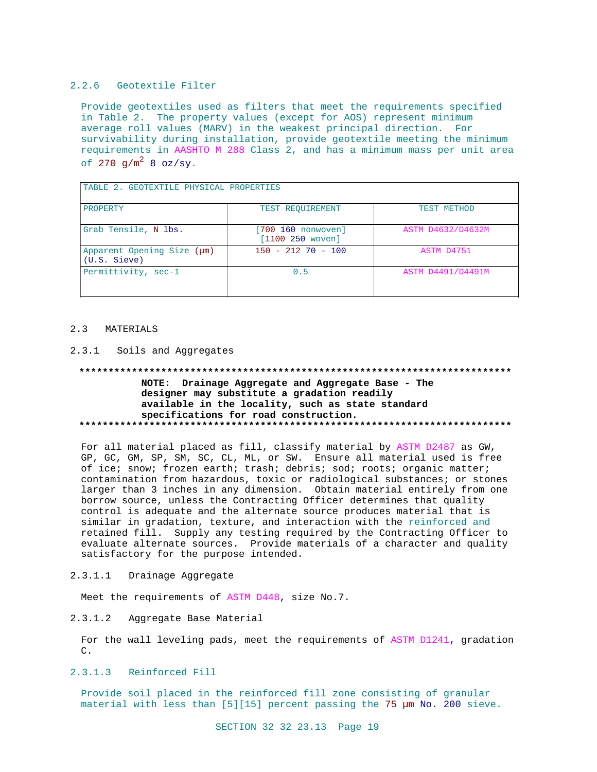## 2.2.6 Geotextile Filter

Provide geotextiles used as filters that meet the requirements specified in Table 2. The property values (except for AOS) represent minimum average roll values (MARV) in the weakest principal direction. For survivability during installation, provide geotextile meeting the minimum requirements in AASHTO M 288 Class 2, and has a minimum mass per unit area of  $270 \text{ g/m}^2$  8 oz/sy.

## TABLE 2. GEOTEXTILE PHYSICAL PROPERTIES

| PROPERTY                                   | TEST REOUIREMENT                       | TEST METHOD       |
|--------------------------------------------|----------------------------------------|-------------------|
| Grab Tensile, N lbs.                       | [700 160 nonwoven]<br>[1100 250 woven] | ASTM D4632/D4632M |
| Apparent Opening Size (µm)<br>(U.S. Sieve) | $150 - 212$ 70 - 100                   | ASTM D4751        |
| Permittivity, sec-1                        | 0.5                                    | ASTM D4491/D4491M |

# 2.3 MATERIALS

## 2.3.1 Soils and Aggregates

# **\*\*\*\*\*\*\*\*\*\*\*\*\*\*\*\*\*\*\*\*\*\*\*\*\*\*\*\*\*\*\*\*\*\*\*\*\*\*\*\*\*\*\*\*\*\*\*\*\*\*\*\*\*\*\*\*\*\*\*\*\*\*\*\*\*\*\*\*\*\*\*\*\*\* NOTE: Drainage Aggregate and Aggregate Base - The designer may substitute a gradation readily available in the locality, such as state standard specifications for road construction.**

# **\*\*\*\*\*\*\*\*\*\*\*\*\*\*\*\*\*\*\*\*\*\*\*\*\*\*\*\*\*\*\*\*\*\*\*\*\*\*\*\*\*\*\*\*\*\*\*\*\*\*\*\*\*\*\*\*\*\*\*\*\*\*\*\*\*\*\*\*\*\*\*\*\*\***

For all material placed as fill, classify material by ASTM D2487 as GW, GP, GC, GM, SP, SM, SC, CL, ML, or SW. Ensure all material used is free of ice; snow; frozen earth; trash; debris; sod; roots; organic matter; contamination from hazardous, toxic or radiological substances; or stones larger than 3 inches in any dimension. Obtain material entirely from one borrow source, unless the Contracting Officer determines that quality control is adequate and the alternate source produces material that is similar in gradation, texture, and interaction with the reinforced and retained fill. Supply any testing required by the Contracting Officer to evaluate alternate sources. Provide materials of a character and quality satisfactory for the purpose intended.

## 2.3.1.1 Drainage Aggregate

Meet the requirements of ASTM D448, size No.7.

# 2.3.1.2 Aggregate Base Material

For the wall leveling pads, meet the requirements of ASTM D1241, gradation C.

# 2.3.1.3 Reinforced Fill

Provide soil placed in the reinforced fill zone consisting of granular material with less than [5][15] percent passing the 75 µm No. 200 sieve.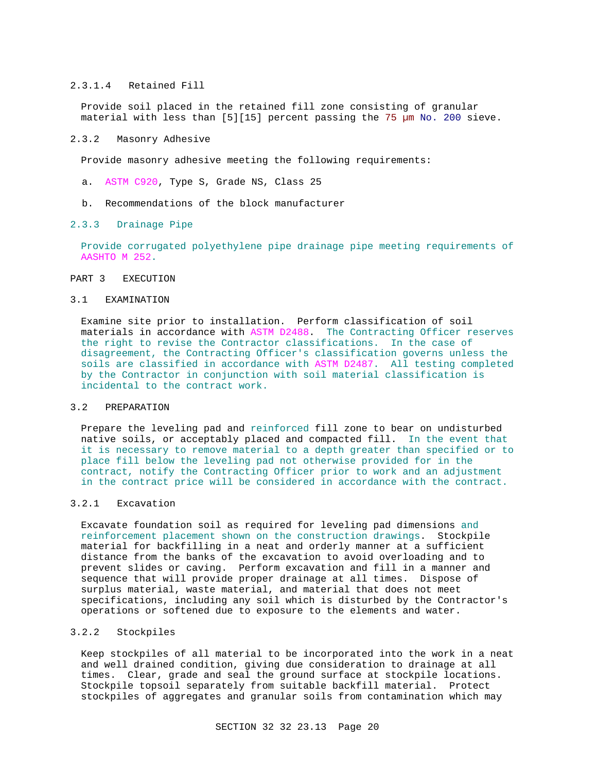### 2.3.1.4 Retained Fill

Provide soil placed in the retained fill zone consisting of granular material with less than [5][15] percent passing the 75 µm No. 200 sieve.

## 2.3.2 Masonry Adhesive

Provide masonry adhesive meeting the following requirements:

- a. ASTM C920, Type S, Grade NS, Class 25
- b. Recommendations of the block manufacturer

# 2.3.3 Drainage Pipe

Provide corrugated polyethylene pipe drainage pipe meeting requirements of AASHTO M 252.

# PART 3 EXECUTION

# 3.1 EXAMINATION

Examine site prior to installation. Perform classification of soil materials in accordance with ASTM D2488. The Contracting Officer reserves the right to revise the Contractor classifications. In the case of disagreement, the Contracting Officer's classification governs unless the soils are classified in accordance with ASTM D2487. All testing completed by the Contractor in conjunction with soil material classification is incidental to the contract work.

# 3.2 PREPARATION

Prepare the leveling pad and reinforced fill zone to bear on undisturbed native soils, or acceptably placed and compacted fill. In the event that it is necessary to remove material to a depth greater than specified or to place fill below the leveling pad not otherwise provided for in the contract, notify the Contracting Officer prior to work and an adjustment in the contract price will be considered in accordance with the contract.

# 3.2.1 Excavation

Excavate foundation soil as required for leveling pad dimensions and reinforcement placement shown on the construction drawings. Stockpile material for backfilling in a neat and orderly manner at a sufficient distance from the banks of the excavation to avoid overloading and to prevent slides or caving. Perform excavation and fill in a manner and sequence that will provide proper drainage at all times. Dispose of surplus material, waste material, and material that does not meet specifications, including any soil which is disturbed by the Contractor's operations or softened due to exposure to the elements and water.

# 3.2.2 Stockpiles

Keep stockpiles of all material to be incorporated into the work in a neat and well drained condition, giving due consideration to drainage at all times. Clear, grade and seal the ground surface at stockpile locations. Stockpile topsoil separately from suitable backfill material. Protect stockpiles of aggregates and granular soils from contamination which may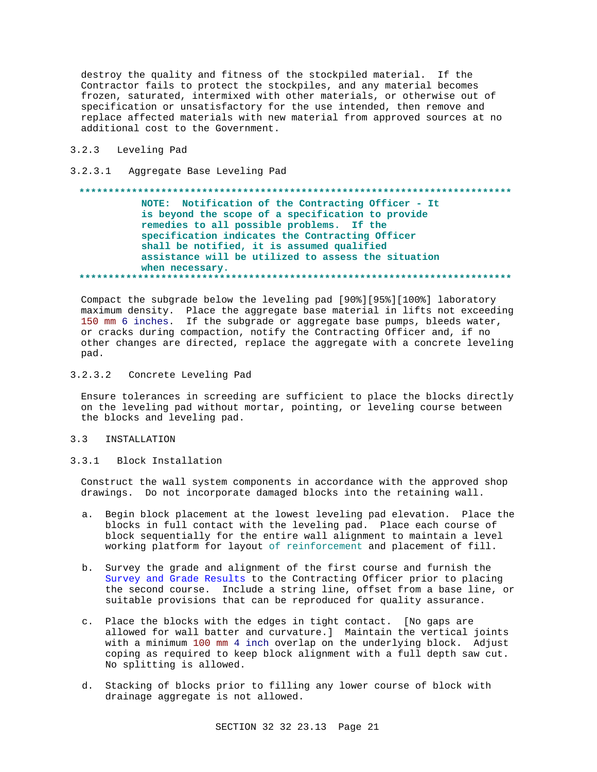destroy the quality and fitness of the stockpiled material. If the Contractor fails to protect the stockpiles, and any material becomes frozen, saturated, intermixed with other materials, or otherwise out of specification or unsatisfactory for the use intended, then remove and replace affected materials with new material from approved sources at no additional cost to the Government.

# 3.2.3 Leveling Pad

# 3.2.3.1 Aggregate Base Leveling Pad

# NOTE: Notification of the Contracting Officer - It is beyond the scope of a specification to provide remedies to all possible problems. If the specification indicates the Contracting Officer shall be notified, it is assumed qualified assistance will be utilized to assess the situation when necessary.

Compact the subgrade below the leveling pad [90%][95%][100%] laboratory maximum density. Place the aggregate base material in lifts not exceeding 150 mm 6 inches. If the subgrade or aggregate base pumps, bleeds water, or cracks during compaction, notify the Contracting Officer and, if no other changes are directed, replace the aggregate with a concrete leveling pad.

#### $3.2.3.2$ Concrete Leveling Pad

Ensure tolerances in screeding are sufficient to place the blocks directly on the leveling pad without mortar, pointing, or leveling course between the blocks and leveling pad.

#### $3.3$ INSTALLATION

 $3.3.1$ Block Installation

Construct the wall system components in accordance with the approved shop drawings. Do not incorporate damaged blocks into the retaining wall.

- a. Begin block placement at the lowest leveling pad elevation. Place the blocks in full contact with the leveling pad. Place each course of block sequentially for the entire wall alignment to maintain a level working platform for layout of reinforcement and placement of fill.
- b. Survey the grade and alignment of the first course and furnish the Survey and Grade Results to the Contracting Officer prior to placing the second course. Include a string line, offset from a base line, or suitable provisions that can be reproduced for quality assurance.
- c. Place the blocks with the edges in tight contact. [No gaps are allowed for wall batter and curvature.] Maintain the vertical joints with a minimum 100 mm 4 inch overlap on the underlying block. Adjust coping as required to keep block alignment with a full depth saw cut. No splitting is allowed.
- d. Stacking of blocks prior to filling any lower course of block with drainage aggregate is not allowed.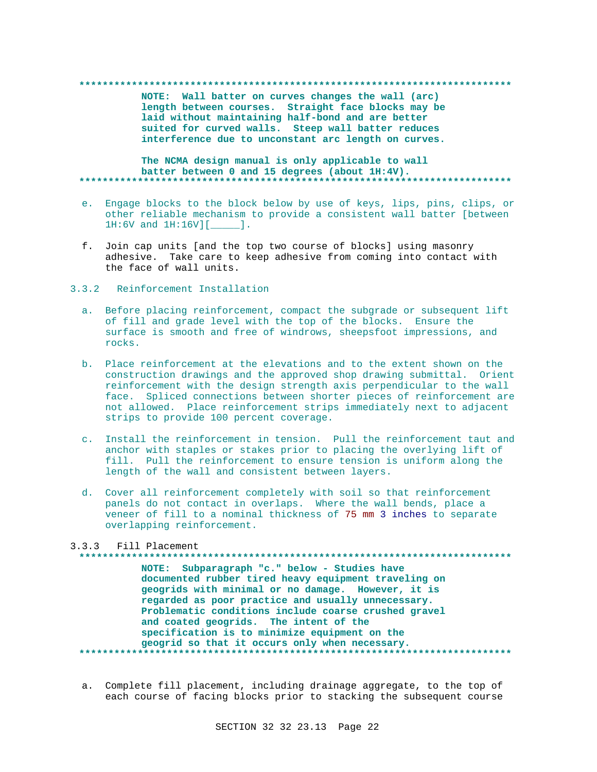### 

NOTE: Wall batter on curves changes the wall (arc) length between courses. Straight face blocks may be laid without maintaining half-bond and are better suited for curved walls. Steep wall batter reduces interference due to unconstant arc length on curves.

The NCMA design manual is only applicable to wall batter between 0 and 15 degrees (about 1H:4V). . . . . . . . . . . . . . . . . . . .

- e. Engage blocks to the block below by use of keys, lips, pins, clips, or other reliable mechanism to provide a consistent wall batter [between  $1H:6V$  and  $1H:16V$  [ \_\_\_\_\_ ].
- f. Join cap units [and the top two course of blocks] using masonry adhesive. Take care to keep adhesive from coming into contact with the face of wall units.

# 3.3.2 Reinforcement Installation

- a. Before placing reinforcement, compact the subgrade or subsequent lift of fill and grade level with the top of the blocks. Ensure the surface is smooth and free of windrows, sheepsfoot impressions, and rocks.
- b. Place reinforcement at the elevations and to the extent shown on the construction drawings and the approved shop drawing submittal. Orient reinforcement with the design strength axis perpendicular to the wall face. Spliced connections between shorter pieces of reinforcement are not allowed. Place reinforcement strips immediately next to adjacent strips to provide 100 percent coverage.
- c. Install the reinforcement in tension. Pull the reinforcement taut and anchor with staples or stakes prior to placing the overlying lift of fill. Pull the reinforcement to ensure tension is uniform along the length of the wall and consistent between layers.
- d. Cover all reinforcement completely with soil so that reinforcement panels do not contact in overlaps. Where the wall bends, place a veneer of fill to a nominal thickness of 75 mm 3 inches to separate overlapping reinforcement.

# 3.3.3 Fill Placement

NOTE: Subparagraph "c." below - Studies have documented rubber tired heavy equipment traveling on geogrids with minimal or no damage. However, it is regarded as poor practice and usually unnecessary. Problematic conditions include coarse crushed gravel and coated geogrids. The intent of the specification is to minimize equipment on the geogrid so that it occurs only when necessary. 

a. Complete fill placement, including drainage aggregate, to the top of each course of facing blocks prior to stacking the subsequent course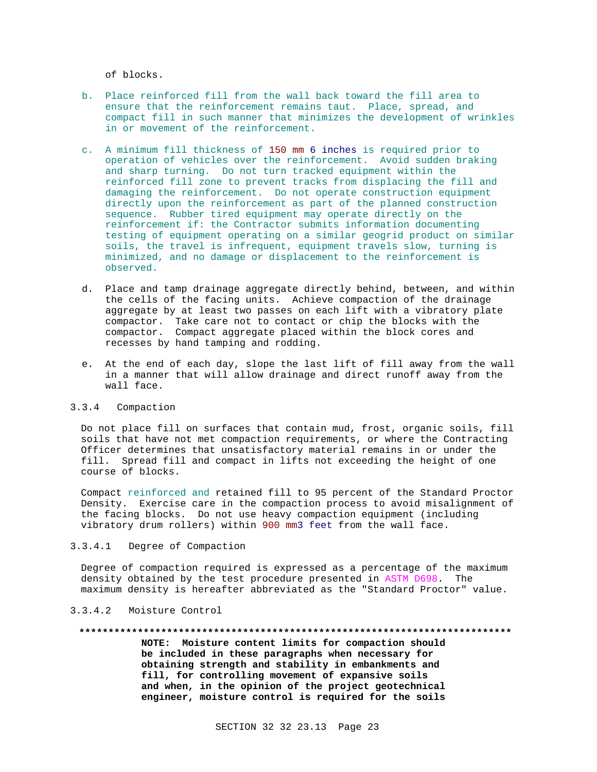of blocks.

- b. Place reinforced fill from the wall back toward the fill area to ensure that the reinforcement remains taut. Place, spread, and compact fill in such manner that minimizes the development of wrinkles in or movement of the reinforcement.
- c. A minimum fill thickness of 150 mm 6 inches is required prior to operation of vehicles over the reinforcement. Avoid sudden braking and sharp turning. Do not turn tracked equipment within the reinforced fill zone to prevent tracks from displacing the fill and damaging the reinforcement. Do not operate construction equipment directly upon the reinforcement as part of the planned construction sequence. Rubber tired equipment may operate directly on the reinforcement if: the Contractor submits information documenting testing of equipment operating on a similar geogrid product on similar soils, the travel is infrequent, equipment travels slow, turning is minimized, and no damage or displacement to the reinforcement is observed.
- d. Place and tamp drainage aggregate directly behind, between, and within the cells of the facing units. Achieve compaction of the drainage aggregate by at least two passes on each lift with a vibratory plate compactor. Take care not to contact or chip the blocks with the compactor. Compact aggregate placed within the block cores and recesses by hand tamping and rodding.
- e. At the end of each day, slope the last lift of fill away from the wall in a manner that will allow drainage and direct runoff away from the wall face.

# 3.3.4 Compaction

Do not place fill on surfaces that contain mud, frost, organic soils, fill soils that have not met compaction requirements, or where the Contracting Officer determines that unsatisfactory material remains in or under the fill. Spread fill and compact in lifts not exceeding the height of one course of blocks.

Compact reinforced and retained fill to 95 percent of the Standard Proctor Density. Exercise care in the compaction process to avoid misalignment of the facing blocks. Do not use heavy compaction equipment (including vibratory drum rollers) within 900 mm3 feet from the wall face.

# 3.3.4.1 Degree of Compaction

Degree of compaction required is expressed as a percentage of the maximum density obtained by the test procedure presented in ASTM D698. The maximum density is hereafter abbreviated as the "Standard Proctor" value.

## 3.3.4.2 Moisture Control

### **\*\*\*\*\*\*\*\*\*\*\*\*\*\*\*\*\*\*\*\*\*\*\*\*\*\*\*\*\*\*\*\*\*\*\*\*\*\*\*\*\*\*\*\*\*\*\*\*\*\*\*\*\*\*\*\*\*\*\*\*\*\*\*\*\*\*\*\*\*\*\*\*\*\***

**NOTE: Moisture content limits for compaction should be included in these paragraphs when necessary for obtaining strength and stability in embankments and fill, for controlling movement of expansive soils and when, in the opinion of the project geotechnical engineer, moisture control is required for the soils**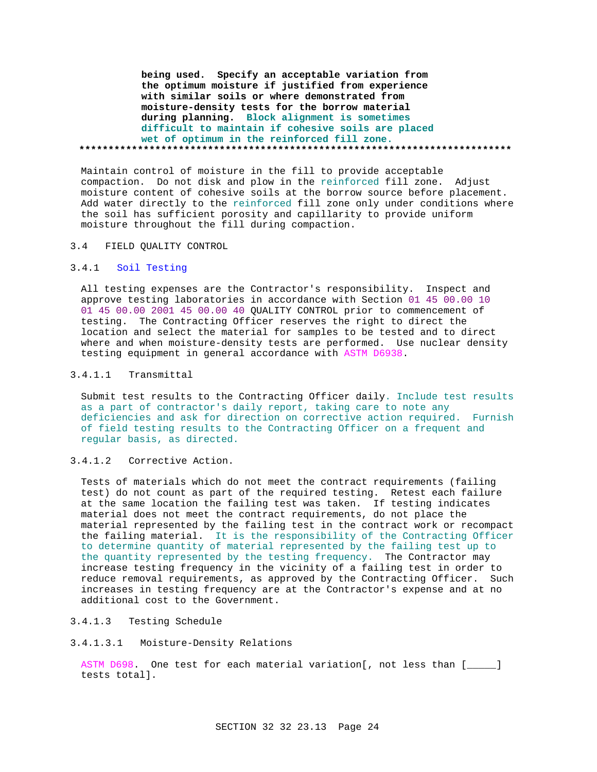**being used. Specify an acceptable variation from the optimum moisture if justified from experience with similar soils or where demonstrated from moisture-density tests for the borrow material during planning. Block alignment is sometimes difficult to maintain if cohesive soils are placed wet of optimum in the reinforced fill zone. \*\*\*\*\*\*\*\*\*\*\*\*\*\*\*\*\*\*\*\*\*\*\*\*\*\*\*\*\*\*\*\*\*\*\*\*\*\*\*\*\*\*\*\*\*\*\*\*\*\*\*\*\*\*\*\*\*\*\*\*\*\*\*\*\*\*\*\*\*\*\*\*\*\***

Maintain control of moisture in the fill to provide acceptable compaction. Do not disk and plow in the reinforced fill zone. Adjust moisture content of cohesive soils at the borrow source before placement. Add water directly to the reinforced fill zone only under conditions where the soil has sufficient porosity and capillarity to provide uniform moisture throughout the fill during compaction.

## 3.4 FIELD QUALITY CONTROL

# 3.4.1 Soil Testing

All testing expenses are the Contractor's responsibility. Inspect and approve testing laboratories in accordance with Section 01 45 00.00 10 01 45 00.00 2001 45 00.00 40 QUALITY CONTROL prior to commencement of testing. The Contracting Officer reserves the right to direct the location and select the material for samples to be tested and to direct where and when moisture-density tests are performed. Use nuclear density testing equipment in general accordance with ASTM D6938.

# 3.4.1.1 Transmittal

Submit test results to the Contracting Officer daily. Include test results as a part of contractor's daily report, taking care to note any deficiencies and ask for direction on corrective action required. Furnish of field testing results to the Contracting Officer on a frequent and regular basis, as directed.

## 3.4.1.2 Corrective Action.

Tests of materials which do not meet the contract requirements (failing test) do not count as part of the required testing. Retest each failure at the same location the failing test was taken. If testing indicates material does not meet the contract requirements, do not place the material represented by the failing test in the contract work or recompact the failing material. It is the responsibility of the Contracting Officer to determine quantity of material represented by the failing test up to the quantity represented by the testing frequency. The Contractor may increase testing frequency in the vicinity of a failing test in order to reduce removal requirements, as approved by the Contracting Officer. Such increases in testing frequency are at the Contractor's expense and at no additional cost to the Government.

# 3.4.1.3 Testing Schedule

# 3.4.1.3.1 Moisture-Density Relations

ASTM D698. One test for each material variation[, not less than [\_\_\_\_\_] tests total].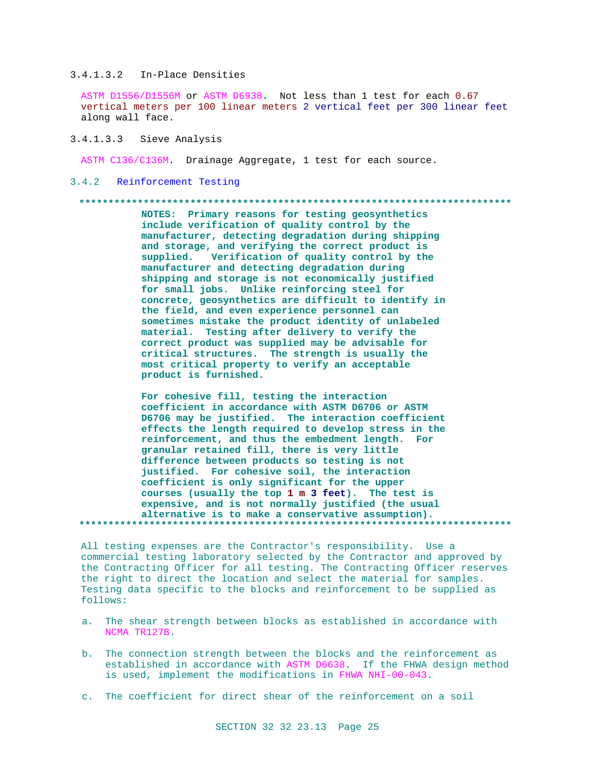# 3.4.1.3.2 In-Place Densities

ASTM D1556/D1556M or ASTM D6938. Not less than 1 test for each 0.67 vertical meters per 100 linear meters 2 vertical feet per 300 linear feet along wall face.

 $3.4.1.3.3$ Sieve Analysis

ASTM C136/C136M. Drainage Aggregate, 1 test for each source.

3.4.2 Reinforcement Testing

### 

NOTES: Primary reasons for testing geosynthetics include verification of quality control by the manufacturer, detecting degradation during shipping and storage, and verifying the correct product is supplied. Verification of quality control by the manufacturer and detecting degradation during shipping and storage is not economically justified for small jobs. Unlike reinforcing steel for concrete, geosynthetics are difficult to identify in the field, and even experience personnel can sometimes mistake the product identity of unlabeled material. Testing after delivery to verify the correct product was supplied may be advisable for critical structures. The strength is usually the most critical property to verify an acceptable product is furnished.

For cohesive fill, testing the interaction coefficient in accordance with ASTM D6706 or ASTM D6706 may be justified. The interaction coefficient effects the length required to develop stress in the reinforcement, and thus the embedment length. For granular retained fill, there is very little difference between products so testing is not justified. For cohesive soil, the interaction coefficient is only significant for the upper courses (usually the top 1 m 3 feet). The test is expensive, and is not normally justified (the usual alternative is to make a conservative assumption). 

All testing expenses are the Contractor's responsibility. Use a commercial testing laboratory selected by the Contractor and approved by the Contracting Officer for all testing. The Contracting Officer reserves the right to direct the location and select the material for samples. Testing data specific to the blocks and reinforcement to be supplied as follows:

- a. The shear strength between blocks as established in accordance with NCMA TR127B.
- b. The connection strength between the blocks and the reinforcement as established in accordance with ASTM D6638. If the FHWA design method is used, implement the modifications in FHWA NHI-00-043.
- c. The coefficient for direct shear of the reinforcement on a soil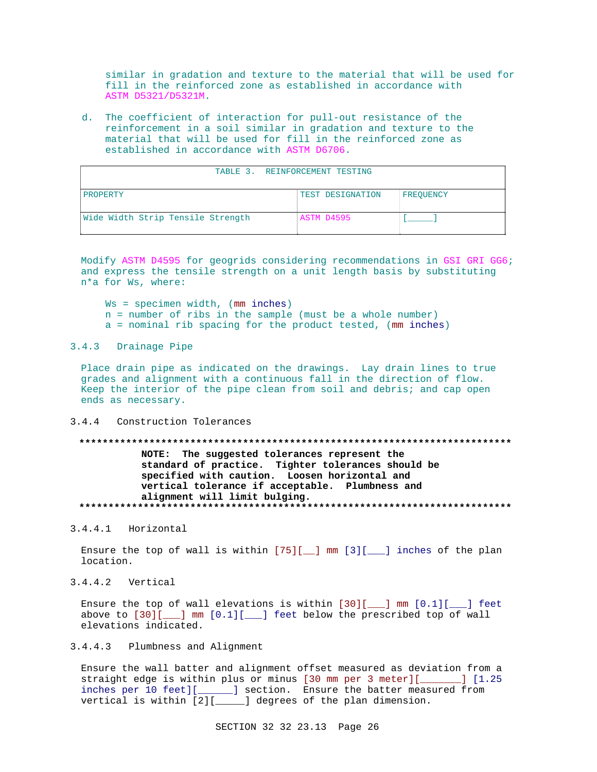similar in gradation and texture to the material that will be used for fill in the reinforced zone as established in accordance with ASTM D5321/D5321M.

d. The coefficient of interaction for pull-out resistance of the reinforcement in a soil similar in gradation and texture to the material that will be used for fill in the reinforced zone as established in accordance with ASTM D6706.

| TABLE 3. REINFORCEMENT TESTING    |                  |                  |  |
|-----------------------------------|------------------|------------------|--|
| PROPERTY                          | TEST DESIGNATION | <b>FREQUENCY</b> |  |
| Wide Width Strip Tensile Strength | ASTM D4595       |                  |  |

Modify ASTM D4595 for geogrids considering recommendations in GSI GRI GG6; and express the tensile strength on a unit length basis by substituting n\*a for Ws, where:

Ws = specimen width, (mm inches) n = number of ribs in the sample (must be a whole number) a = nominal rib spacing for the product tested, (mm inches)

3.4.3 Drainage Pipe

Place drain pipe as indicated on the drawings. Lay drain lines to true grades and alignment with a continuous fall in the direction of flow. Keep the interior of the pipe clean from soil and debris; and cap open ends as necessary.

3.4.4 Construction Tolerances

# NOTE: The suggested tolerances represent the standard of practice. Tighter tolerances should be specified with caution. Loosen horizontal and vertical tolerance if acceptable. Plumbness and alignment will limit bulging.

3.4.4.1 Horizontal

Ensure the top of wall is within [75][\_] mm [3][\_\_] inches of the plan location.

 $3.4.4.2$  Vertical

Ensure the top of wall elevations is within  $[30][$  ] mm  $[0.1][$  ] feet above to  $[30][\_\_$  mm  $[0.1][\_\_]$  feet below the prescribed top of wall elevations indicated.

 $3.4.4.3$ Plumbness and Alignment

Ensure the wall batter and alignment offset measured as deviation from a straight edge is within plus or minus [30 mm per 3 meter][ \_\_\_\_\_\_] [1.25 inches per 10 feet][ $\_\_\_\$ ] section. Ensure the batter measured from<br>vertical is within [2][ $\_\_\_\$ ] degrees of the plan dimension.